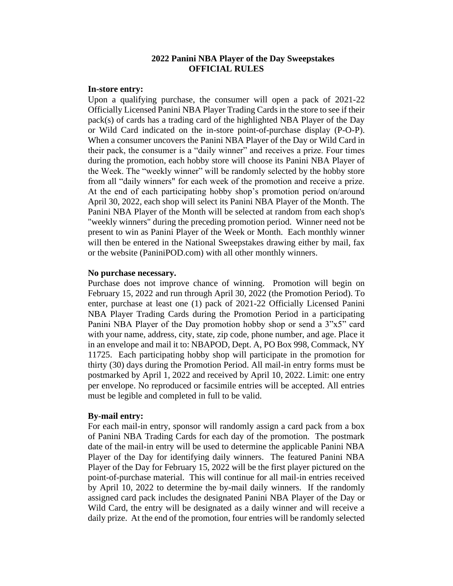### **2022 Panini NBA Player of the Day Sweepstakes OFFICIAL RULES**

### **In-store entry:**

Upon a qualifying purchase, the consumer will open a pack of 2021-22 Officially Licensed Panini NBA Player Trading Cards in the store to see if their pack(s) of cards has a trading card of the highlighted NBA Player of the Day or Wild Card indicated on the in-store point-of-purchase display (P-O-P). When a consumer uncovers the Panini NBA Player of the Day or Wild Card in their pack, the consumer is a "daily winner" and receives a prize. Four times during the promotion, each hobby store will choose its Panini NBA Player of the Week. The "weekly winner" will be randomly selected by the hobby store from all "daily winners" for each week of the promotion and receive a prize. At the end of each participating hobby shop's promotion period on/around April 30, 2022, each shop will select its Panini NBA Player of the Month. The Panini NBA Player of the Month will be selected at random from each shop's "weekly winners" during the preceding promotion period. Winner need not be present to win as Panini Player of the Week or Month. Each monthly winner will then be entered in the National Sweepstakes drawing either by mail, fax or the website (PaniniPOD.com) with all other monthly winners.

### **No purchase necessary.**

Purchase does not improve chance of winning. Promotion will begin on February 15, 2022 and run through April 30, 2022 (the Promotion Period). To enter, purchase at least one (1) pack of 2021-22 Officially Licensed Panini NBA Player Trading Cards during the Promotion Period in a participating Panini NBA Player of the Day promotion hobby shop or send a 3"x5" card with your name, address, city, state, zip code, phone number, and age. Place it in an envelope and mail it to: NBAPOD, Dept. A, PO Box 998, Commack, NY 11725. Each participating hobby shop will participate in the promotion for thirty (30) days during the Promotion Period. All mail-in entry forms must be postmarked by April 1, 2022 and received by April 10, 2022. Limit: one entry per envelope. No reproduced or facsimile entries will be accepted. All entries must be legible and completed in full to be valid.

#### **By-mail entry:**

For each mail-in entry, sponsor will randomly assign a card pack from a box of Panini NBA Trading Cards for each day of the promotion. The postmark date of the mail-in entry will be used to determine the applicable Panini NBA Player of the Day for identifying daily winners. The featured Panini NBA Player of the Day for February 15, 2022 will be the first player pictured on the point-of-purchase material. This will continue for all mail-in entries received by April 10, 2022 to determine the by-mail daily winners. If the randomly assigned card pack includes the designated Panini NBA Player of the Day or Wild Card, the entry will be designated as a daily winner and will receive a daily prize. At the end of the promotion, four entries will be randomly selected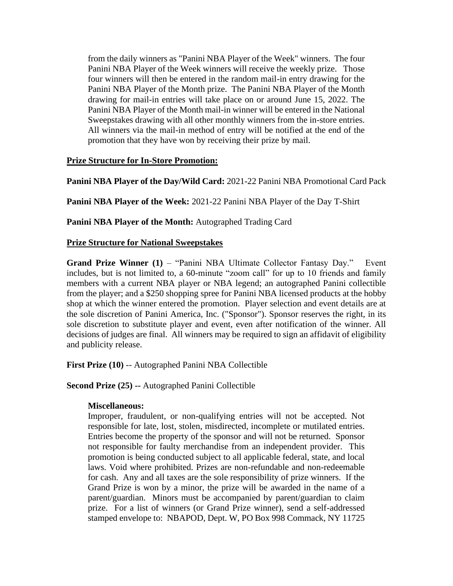from the daily winners as "Panini NBA Player of the Week" winners. The four Panini NBA Player of the Week winners will receive the weekly prize. Those four winners will then be entered in the random mail-in entry drawing for the Panini NBA Player of the Month prize. The Panini NBA Player of the Month drawing for mail-in entries will take place on or around June 15, 2022. The Panini NBA Player of the Month mail-in winner will be entered in the National Sweepstakes drawing with all other monthly winners from the in-store entries. All winners via the mail-in method of entry will be notified at the end of the promotion that they have won by receiving their prize by mail.

# **Prize Structure for In-Store Promotion:**

**Panini NBA Player of the Day/Wild Card:** 2021-22 Panini NBA Promotional Card Pack

**Panini NBA Player of the Week:** 2021-22 Panini NBA Player of the Day T-Shirt

**Panini NBA Player of the Month:** Autographed Trading Card

## **Prize Structure for National Sweepstakes**

**Grand Prize Winner (1) – "Panini NBA Ultimate Collector Fantasy Day."** Event includes, but is not limited to, a 60-minute "zoom call" for up to 10 friends and family members with a current NBA player or NBA legend; an autographed Panini collectible from the player; and a \$250 shopping spree for Panini NBA licensed products at the hobby shop at which the winner entered the promotion. Player selection and event details are at the sole discretion of Panini America, Inc. ("Sponsor"). Sponsor reserves the right, in its sole discretion to substitute player and event, even after notification of the winner. All decisions of judges are final. All winners may be required to sign an affidavit of eligibility and publicity release.

**First Prize (10)** -- Autographed Panini NBA Collectible

**Second Prize (25) --** Autographed Panini Collectible

## **Miscellaneous:**

Improper, fraudulent, or non-qualifying entries will not be accepted. Not responsible for late, lost, stolen, misdirected, incomplete or mutilated entries. Entries become the property of the sponsor and will not be returned. Sponsor not responsible for faulty merchandise from an independent provider. This promotion is being conducted subject to all applicable federal, state, and local laws. Void where prohibited. Prizes are non-refundable and non-redeemable for cash. Any and all taxes are the sole responsibility of prize winners. If the Grand Prize is won by a minor, the prize will be awarded in the name of a parent/guardian. Minors must be accompanied by parent/guardian to claim prize. For a list of winners (or Grand Prize winner), send a self-addressed stamped envelope to: NBAPOD, Dept. W, PO Box 998 Commack, NY 11725